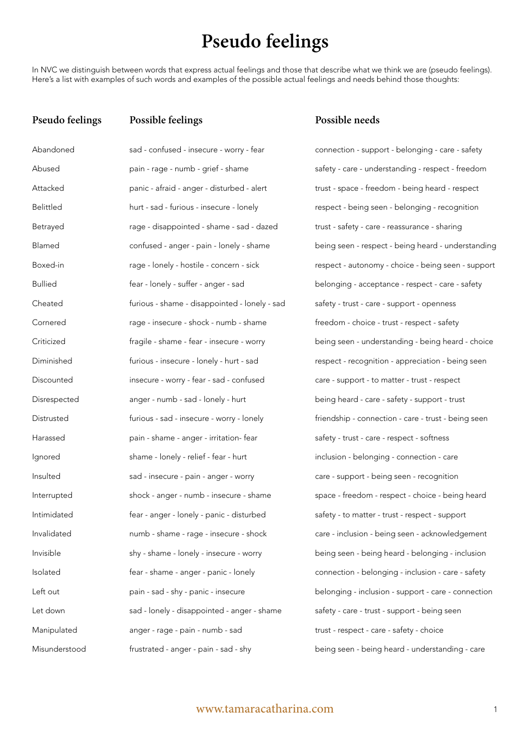# **Pseudo feelings**

In NVC we distinguish between words that express actual feelings and those that describe what we think we are (pseudo feelings). Here's a list with examples of such words and examples of the possible actual feelings and needs behind those thoughts:

## **Pseudo feelings**

**Possible feelings**

| Abandoned        | sad - confused - insecure - worry - fear      |
|------------------|-----------------------------------------------|
| Abused           | pain - rage - numb - grief - shame            |
| Attacked         | panic - afraid - anger - disturbed - alert    |
| <b>Belittled</b> | hurt - sad - furious - insecure - lonely      |
| Betrayed         | rage - disappointed - shame - sad - dazed     |
| Blamed           | confused - anger - pain - lonely - shame      |
| Boxed-in         | rage - lonely - hostile - concern - sick      |
| <b>Bullied</b>   | fear - lonely - suffer - anger - sad          |
| Cheated          | furious - shame - disappointed - lonely - sad |
| Cornered         | rage - insecure - shock - numb - shame        |
| Criticized       | fragile - shame - fear - insecure - worry     |
| Diminished       | furious - insecure - lonely - hurt - sad      |
| Discounted       | insecure - worry - fear - sad - confused      |
| Disrespected     | anger - numb - sad - lonely - hurt            |
| Distrusted       | furious - sad - insecure - worry - lonely     |
| Harassed         | pain - shame - anger - irritation- fear       |
| Ignored          | shame - lonely - relief - fear - hurt         |
| Insulted         | sad - insecure - pain - anger - worry         |
| Interrupted      | shock - anger - numb - insecure - shame       |
| Intimidated      | fear - anger - lonely - panic - disturbed     |
| Invalidated      | numb - shame - rage - insecure - shock        |
| Invisible        | shy - shame - lonely - insecure - worry       |
| Isolated         | fear - shame - anger - panic - lonely         |
| Left out         | pain - sad - shy - panic - insecure           |
| Let down         | sad - lonely - disappointed - anger - shame   |
| Manipulated      | anger - rage - pain - numb - sad              |
| Misunderstood    | frustrated - anger - pain - sad - shy         |

## **Possible needs**

connection - support - belonging - care - safety safety - care - understanding - respect - freedom trust - space - freedom - being heard - respect respect - being seen - belonging - recognition trust - safety - care - reassurance - sharing being seen - respect - being heard - understanding respect - autonomy - choice - being seen - support belonging - acceptance - respect - care - safety safety - trust - care - support - openness freedom - choice - trust - respect - safety being seen - understanding - being heard - choice respect - recognition - appreciation - being seen care - support - to matter - trust - respect being heard - care - safety - support - trust friendship - connection - care - trust - being seen safety - trust - care - respect - softness inclusion - belonging - connection - care care - support - being seen - recognition space - freedom - respect - choice - being heard safety - to matter - trust - respect - support care - inclusion - being seen - acknowledgement being seen - being heard - belonging - inclusion connection - belonging - inclusion - care - safety belonging - inclusion - support - care - connection safety - care - trust - support - being seen trust - respect - care - safety - choice being seen - being heard - understanding - care